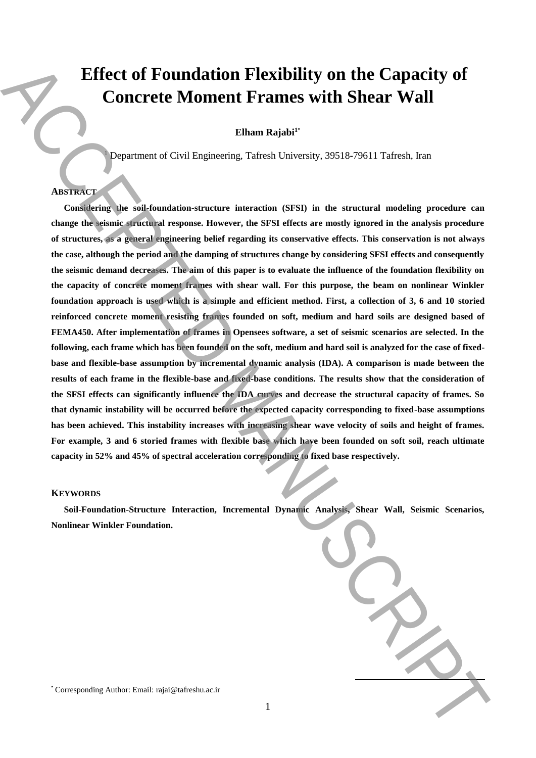# **Effect of Foundation Flexibility on the Capacity of Concrete Moment Frames with Shear Wall**

**Elham Rajabi<sup>1</sup>**\*

<sup>1</sup> Department of Civil Engineering, Tafresh University, 39518-79611 Tafresh, Iran

## **ABSTRACT**

**Considering the soil-foundation-structure interaction (SFSI) in the structural modeling procedure can change the seismic structural response. However, the SFSI effects are mostly ignored in the analysis procedure of structures, as a general engineering belief regarding its conservative effects. This conservation is not always the case, although the period and the damping of structures change by considering SFSI effects and consequently the seismic demand decreases. The aim of this paper is to evaluate the influence of the foundation flexibility on the capacity of concrete moment frames with shear wall. For this purpose, the beam on nonlinear Winkler foundation approach is used which is a simple and efficient method. First, a collection of 3, 6 and 10 storied reinforced concrete moment resisting frames founded on soft, medium and hard soils are designed based of FEMA450. After implementation of frames in Opensees software, a set of seismic scenarios are selected. In the following, each frame which has been founded on the soft, medium and hard soil is analyzed for the case of fixedbase and flexible-base assumption by incremental dynamic analysis (IDA). A comparison is made between the results of each frame in the flexible-base and fixed-base conditions. The results show that the consideration of the SFSI effects can significantly influence the IDA curves and decrease the structural capacity of frames. So that dynamic instability will be occurred before the expected capacity corresponding to fixed-base assumptions has been achieved. This instability increases with increasing shear wave velocity of soils and height of frames. For example, 3 and 6 storied frames with flexible base which have been founded on soft soil, reach ultimate capacity in 52% and 45% of spectral acceleration corresponding to fixed base respectively.** Effect of Foundation Flexibility on the Capacity of<br>
Concrete Moment Frames with Shear Wall<br>
Eliana Kajahi"<br>
Eliana Kajahi"<br>
Eliana Kajahi"<br>
Eliana Kajahi"<br>
Proporter the corresponding Author: The State Corresponding and

## **KEYWORDS**

**Soil-Foundation-Structure Interaction, Incremental Dynamic Analysis, Shear Wall, Seismic Scenarios, Nonlinear Winkler Foundation.**

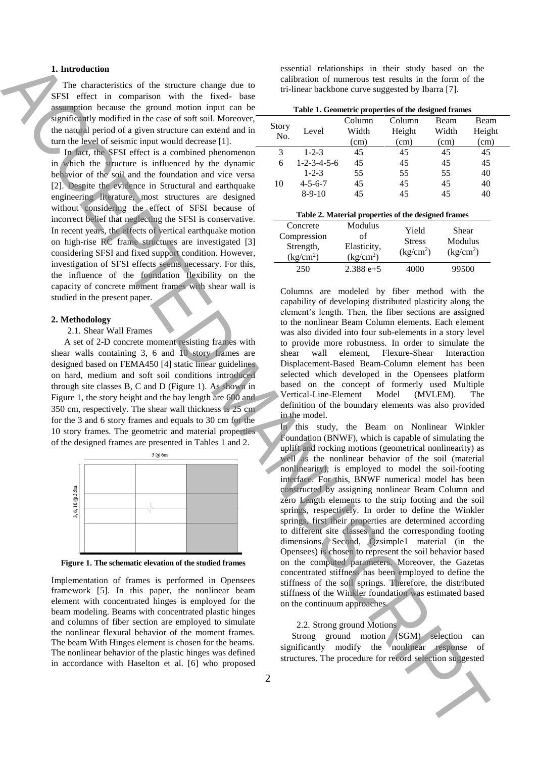## **1. Introduction**

The characteristics of the structure change due to SFSI effect in comparison with the fixed- base assumption because the ground motion input can be significantly modified in the case of soft soil. Moreover, the natural period of a given structure can extend and in turn the level of seismic input would decrease [1].

In fact, the SFSI effect is a combined phenomenon in which the structure is influenced by the dynamic behavior of the soil and the foundation and vice versa [2]. Despite the evidence in Structural and earthquake engineering literature, most structures are designed without considering the effect of SFSI because of incorrect belief that neglecting the SFSI is conservative. In recent years, the effects of vertical earthquake motion on high-rise RC frame structures are investigated [3] considering SFSI and fixed support condition. However, investigation of SFSI effects seems necessary. For this, the influence of the foundation flexibility on the capacity of concrete moment frames with shear wall is studied in the present paper.

### **2. Methodology**

#### 2.1. Shear Wall Frames

A set of 2-D concrete moment resisting frames with shear walls containing 3, 6 and 10 story frames are designed based on FEMA450 [4] static linear guidelines on hard, medium and soft soil conditions introduced through site classes B, C and D (Figure 1). As shown in Figure 1, the story height and the bay length are 600 and 350 cm, respectively. The shear wall thickness is 25 cm for the 3 and 6 story frames and equals to 30 cm for the 10 story frames. The geometric and material properties of the designed frames are presented in Tables 1 and 2.



**Figure 1. The schematic elevation of the studied frames**

Implementation of frames is performed in Opensees framework [5]. In this paper, the nonlinear beam element with concentrated hinges is employed for the beam modeling. Beams with concentrated plastic hinges and columns of fiber section are employed to simulate the nonlinear flexural behavior of the moment frames. The beam With Hinges element is chosen for the beams. The nonlinear behavior of the plastic hinges was defined in accordance with Haselton et al. [6] who proposed essential relationships in their study based on the calibration of numerous test results in the form of the tri-linear backbone curve suggested by Ibarra [7].

| Story<br>No. | Level                   | Column<br>Width<br>(cm) | Column<br>Height<br>(cm) | Beam<br>Width<br>(cm) | Beam<br>Height<br>(cm) |
|--------------|-------------------------|-------------------------|--------------------------|-----------------------|------------------------|
| 3            | $1 - 2 - 3$             | 45                      | 45                       | 45                    | 45                     |
| 6            | $1 - 2 - 3 - 4 - 5 - 6$ | 45                      | 45                       | 45                    | 45                     |
|              | $1 - 2 - 3$             | 55                      | 55                       | 55                    | 40                     |
| 10           | $4 - 5 - 6 - 7$         | 45                      | 45                       | 45                    | 40                     |
|              | $8-9-10$                | 45                      | 45                       | 45                    | 40                     |
|              |                         |                         |                          |                       |                        |

| Table 2. Material properties of the designed frames           |                                                       |                                                 |                                           |  |  |  |  |
|---------------------------------------------------------------|-------------------------------------------------------|-------------------------------------------------|-------------------------------------------|--|--|--|--|
| Concrete<br>Compression<br>Strength,<br>(kg/cm <sup>2</sup> ) | Modulus<br>of<br>Elasticity,<br>(kg/cm <sup>2</sup> ) | Yield<br><b>Stress</b><br>(kg/cm <sup>2</sup> ) | Shear<br>Modulus<br>(kg/cm <sup>2</sup> ) |  |  |  |  |
| 250                                                           | $2.388 e + 5$                                         | 4000                                            | 99500                                     |  |  |  |  |

Columns are modeled by fiber method with the capability of developing distributed plasticity along the element's length. Then, the fiber sections are assigned to the nonlinear Beam Column elements. Each element was also divided into four sub-elements in a story level to provide more robustness. In order to simulate the shear wall element, Flexure-Shear Interaction Displacement-Based Beam-Column element has been selected which developed in the Opensees platform based on the concept of formerly used Multiple Vertical-Line-Element Model (MVLEM). The definition of the boundary elements was also provided in the model.

In this study, the Beam on Nonlinear Winkler Foundation (BNWF), which is capable of simulating the uplift and rocking motions (geometrical nonlinearity) as well as the nonlinear behavior of the soil (material nonlinearity), is employed to model the soil-footing interface. For this, BNWF numerical model has been constructed by assigning nonlinear Beam Column and zero Length elements to the strip footing and the soil springs, respectively. In order to define the Winkler springs, first their properties are determined according to different site classes and the corresponding footing dimensions. Second, Qzsimple1 material (in the Opensees) is chosen to represent the soil behavior based on the computed parameters. Moreover, the Gazetas concentrated stiffness has been employed to define the stiffness of the soil springs. Therefore, the distributed stiffness of the Winkler foundation was estimated based on the continuum approaches. **1.** Internation of the maximizer internal selection internal selection suggested ACCEPTER CONTROL CONTROL CONTROL CONTROL CONTROL CONTROL CONTROL CONTROL CONTROL CONTROL CONTROL CONTROL CONTROL CONTROL CONTROL CONTROL CO

## 2.2. Strong ground Motions

Strong ground motion (SGM) selection can significantly modify the nonlinear response of